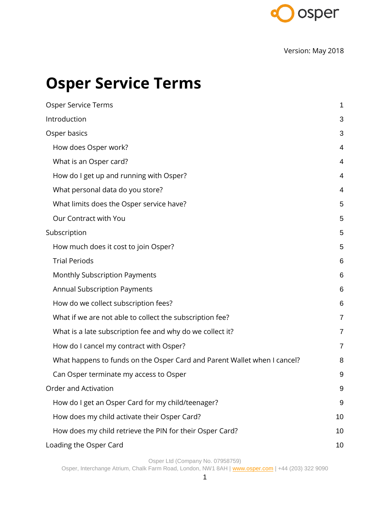

Version: May 2018

## <span id="page-0-0"></span>**Osper Service Terms**

| Osper Service Terms                                                      | 1              |
|--------------------------------------------------------------------------|----------------|
| Introduction                                                             | 3              |
| Osper basics                                                             | 3              |
| How does Osper work?                                                     | 4              |
| What is an Osper card?                                                   | 4              |
| How do I get up and running with Osper?                                  | 4              |
| What personal data do you store?                                         | 4              |
| What limits does the Osper service have?                                 | 5              |
| Our Contract with You                                                    | 5              |
| Subscription                                                             | 5              |
| How much does it cost to join Osper?                                     | 5              |
| <b>Trial Periods</b>                                                     | 6              |
| Monthly Subscription Payments                                            | 6              |
| <b>Annual Subscription Payments</b>                                      | 6              |
| How do we collect subscription fees?                                     | 6              |
| What if we are not able to collect the subscription fee?                 | $\overline{7}$ |
| What is a late subscription fee and why do we collect it?                | 7              |
| How do I cancel my contract with Osper?                                  | $\overline{7}$ |
| What happens to funds on the Osper Card and Parent Wallet when I cancel? | 8              |
| Can Osper terminate my access to Osper                                   | 9              |
| Order and Activation                                                     | 9              |
| How do I get an Osper Card for my child/teenager?                        | 9              |
| How does my child activate their Osper Card?                             | 10             |
| How does my child retrieve the PIN for their Osper Card?                 | 10             |
| Loading the Osper Card                                                   | 10             |

Osper Ltd (Company No. 07958759)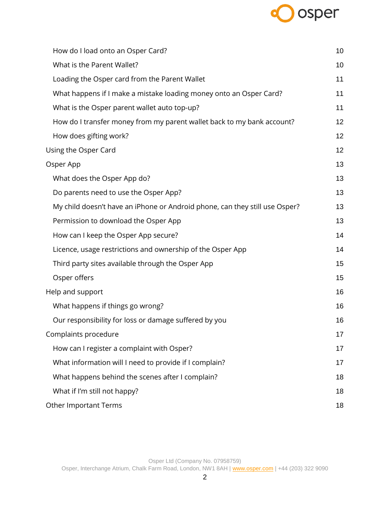# osper

| How do I load onto an Osper Card?                                           | 10 |
|-----------------------------------------------------------------------------|----|
| What is the Parent Wallet?                                                  | 10 |
| Loading the Osper card from the Parent Wallet                               | 11 |
| What happens if I make a mistake loading money onto an Osper Card?          | 11 |
| What is the Osper parent wallet auto top-up?                                | 11 |
| How do I transfer money from my parent wallet back to my bank account?      | 12 |
| How does gifting work?                                                      | 12 |
| Using the Osper Card                                                        | 12 |
| Osper App                                                                   | 13 |
| What does the Osper App do?                                                 | 13 |
| Do parents need to use the Osper App?                                       | 13 |
| My child doesn't have an iPhone or Android phone, can they still use Osper? | 13 |
| Permission to download the Osper App                                        | 13 |
| How can I keep the Osper App secure?                                        | 14 |
| Licence, usage restrictions and ownership of the Osper App                  | 14 |
| Third party sites available through the Osper App                           | 15 |
| Osper offers                                                                | 15 |
| Help and support                                                            | 16 |
| What happens if things go wrong?                                            | 16 |
| Our responsibility for loss or damage suffered by you                       | 16 |
| Complaints procedure                                                        | 17 |
| How can I register a complaint with Osper?                                  | 17 |
| What information will I need to provide if I complain?                      | 17 |
| What happens behind the scenes after I complain?                            | 18 |
| What if I'm still not happy?                                                | 18 |
| <b>Other Important Terms</b>                                                | 18 |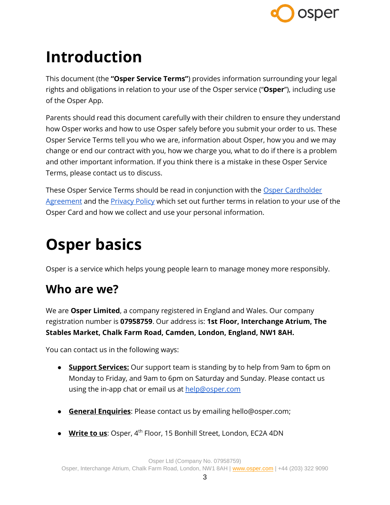

## <span id="page-2-0"></span>**Introduction**

This document (the **"Osper Service Terms"**) provides information surrounding your legal rights and obligations in relation to your use of the Osper service ("**Osper**"), including use of the Osper App.

Parents should read this document carefully with their children to ensure they understand how Osper works and how to use Osper safely before you submit your order to us. These Osper Service Terms tell you who we are, information about Osper, how you and we may change or end our contract with you, how we charge you, what to do if there is a problem and other important information. If you think there is a mistake in these Osper Service Terms, please contact us to discuss.

These Osper Service Terms should be read in conjunction with the [Osper Cardholder](https://osper.com/terms/osper-card-terms.pdf)  [Agreement](https://osper.com/terms/osper-card-terms.pdf) and the **Privacy Policy** which set out further terms in relation to your use of the Osper Card and how we collect and use your personal information.

## <span id="page-2-1"></span>**Osper basics**

Osper is a service which helps young people learn to manage money more responsibly.

#### **Who are we?**

We are **Osper Limited**, a company registered in England and Wales. Our company registration number is **07958759**. Our address is: **1st Floor, Interchange Atrium, The Stables Market, Chalk Farm Road, Camden, London, England, NW1 8AH.**

You can contact us in the following ways:

- **Support Services:** Our support team is standing by to help from 9am to 6pm on Monday to Friday, and 9am to 6pm on Saturday and Sunday. Please contact us using the in-app chat or email us at [help@osper.com](mailto:help@osper.com)
- **General Enquiries**: Please contact us by emailing hello@osper.com;
- **Write to us**: Osper, 4 th Floor, 15 Bonhill Street, London, EC2A 4DN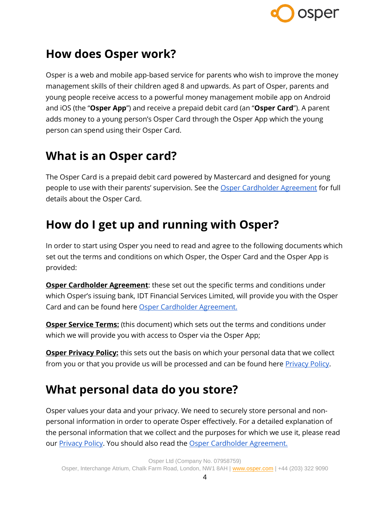

#### <span id="page-3-0"></span>**How does Osper work?**

Osper is a web and mobile app-based service for parents who wish to improve the money management skills of their children aged 8 and upwards. As part of Osper, parents and young people receive access to a powerful money management mobile app on Android and iOS (the "**Osper App**") and receive a prepaid debit card (an "**Osper Card**"). A parent adds money to a young person's Osper Card through the Osper App which the young person can spend using their Osper Card.

#### <span id="page-3-1"></span>**What is an Osper card?**

The Osper Card is a prepaid debit card powered by Mastercard and designed for young people to use with their parents' supervision. See the [Osper Cardholder Agreement](https://osper.com/terms/card-terms) for full details about the Osper Card.

#### <span id="page-3-2"></span>**How do I get up and running with Osper?**

In order to start using Osper you need to read and agree to the following documents which set out the terms and conditions on which Osper, the Osper Card and the Osper App is provided:

**Osper Cardholder Agreement**: these set out the specific terms and conditions under which Osper's issuing bank, IDT Financial Services Limited, will provide you with the Osper Card and can be found here [Osper Cardholder Agreement.](https://osper.com/terms/card-terms)

**Osper Service Terms:** (this document) which sets out the terms and conditions under which we will provide you with access to Osper via the Osper App;

**Osper Privacy Policy:** this sets out the basis on which your personal data that we collect from you or that you provide us will be processed and can be found here **Privacy Policy**.

#### <span id="page-3-3"></span>**What personal data do you store?**

Osper values your data and your privacy. We need to securely store personal and nonpersonal information in order to operate Osper effectively. For a detailed explanation of the personal information that we collect and the purposes for which we use it, please read our **Privacy Policy**. You should also read the **Osper Cardholder Agreement.**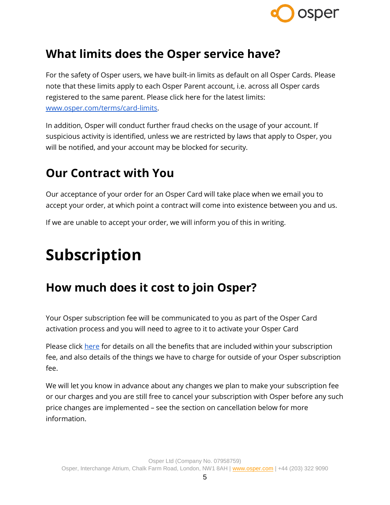

#### <span id="page-4-0"></span>**What limits does the Osper service have?**

For the safety of Osper users, we have built-in limits as default on all Osper Cards. Please note that these limits apply to each Osper Parent account, i.e. across all Osper cards registered to the same parent. Please click here for the latest limits: [www.osper.com/terms/card-limits.](http://www.osper.com/terms/card-limits)

In addition, Osper will conduct further fraud checks on the usage of your account. If suspicious activity is identified, unless we are restricted by laws that apply to Osper, you will be notified, and your account may be blocked for security.

#### <span id="page-4-1"></span>**Our Contract with You**

Our acceptance of your order for an Osper Card will take place when we email you to accept your order, at which point a contract will come into existence between you and us.

If we are unable to accept your order, we will inform you of this in writing.

## <span id="page-4-2"></span>**Subscription**

#### <span id="page-4-3"></span>**How much does it cost to join Osper?**

Your Osper subscription fee will be communicated to you as part of the Osper Card activation process and you will need to agree to it to activate your Osper Card

Please click [here](https://osper.com/terms/schedule-of-fees) for details on all the benefits that are included within your subscription fee, and also details of the things we have to charge for outside of your Osper subscription fee.

We will let you know in advance about any changes we plan to make your subscription fee or our charges and you are still free to cancel your subscription with Osper before any such price changes are implemented – see the section on cancellation below for more information.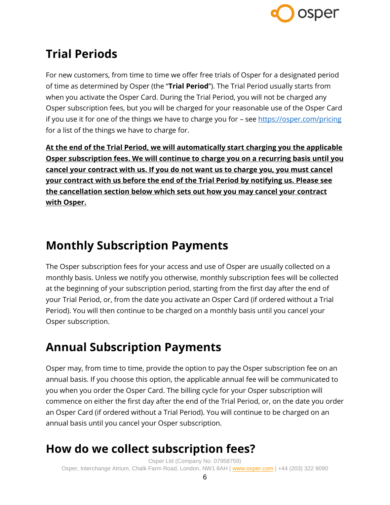

### <span id="page-5-0"></span>**Trial Periods**

For new customers, from time to time we offer free trials of Osper for a designated period of time as determined by Osper (the "**Trial Period**"). The Trial Period usually starts from when you activate the Osper Card. During the Trial Period, you will not be charged any Osper subscription fees, but you will be charged for your reasonable use of the Osper Card if you use it for one of the things we have to charge you for - see<https://osper.com/pricing> for a list of the things we have to charge for.

**At the end of the Trial Period, we will automatically start charging you the applicable Osper subscription fees. We will continue to charge you on a recurring basis until you cancel your contract with us. If you do not want us to charge you, you must cancel your contract with us before the end of the Trial Period by notifying us. Please see the cancellation section below which sets out how you may cancel your contract with Osper.**

#### <span id="page-5-1"></span>**Monthly Subscription Payments**

The Osper subscription fees for your access and use of Osper are usually collected on a monthly basis. Unless we notify you otherwise, monthly subscription fees will be collected at the beginning of your subscription period, starting from the first day after the end of your Trial Period, or, from the date you activate an Osper Card (if ordered without a Trial Period). You will then continue to be charged on a monthly basis until you cancel your Osper subscription.

### <span id="page-5-2"></span>**Annual Subscription Payments**

Osper may, from time to time, provide the option to pay the Osper subscription fee on an annual basis. If you choose this option, the applicable annual fee will be communicated to you when you order the Osper Card. The billing cycle for your Osper subscription will commence on either the first day after the end of the Trial Period, or, on the date you order an Osper Card (if ordered without a Trial Period). You will continue to be charged on an annual basis until you cancel your Osper subscription.

#### <span id="page-5-3"></span>**How do we collect subscription fees?**

Osper Ltd (Company No. 07958759) Osper, Interchange Atrium, Chalk Farm Road, London, NW1 8AH | [www.osper.com](http://www.osper.com/) | +44 (203) 322 9090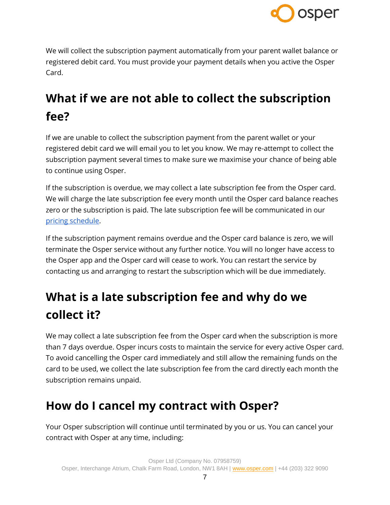

We will collect the subscription payment automatically from your parent wallet balance or registered debit card. You must provide your payment details when you active the Osper Card.

### <span id="page-6-0"></span>**What if we are not able to collect the subscription fee?**

If we are unable to collect the subscription payment from the parent wallet or your registered debit card we will email you to let you know. We may re-attempt to collect the subscription payment several times to make sure we maximise your chance of being able to continue using Osper.

If the subscription is overdue, we may collect a late subscription fee from the Osper card. We will charge the late subscription fee every month until the Osper card balance reaches zero or the subscription is paid. The late subscription fee will be communicated in our [pricing schedule.](https://osper.com/pricing)

If the subscription payment remains overdue and the Osper card balance is zero, we will terminate the Osper service without any further notice. You will no longer have access to the Osper app and the Osper card will cease to work. You can restart the service by contacting us and arranging to restart the subscription which will be due immediately.

### <span id="page-6-1"></span>**What is a late subscription fee and why do we collect it?**

We may collect a late subscription fee from the Osper card when the subscription is more than 7 days overdue. Osper incurs costs to maintain the service for every active Osper card. To avoid cancelling the Osper card immediately and still allow the remaining funds on the card to be used, we collect the late subscription fee from the card directly each month the subscription remains unpaid.

#### <span id="page-6-2"></span>**How do I cancel my contract with Osper?**

Your Osper subscription will continue until terminated by you or us. You can cancel your contract with Osper at any time, including: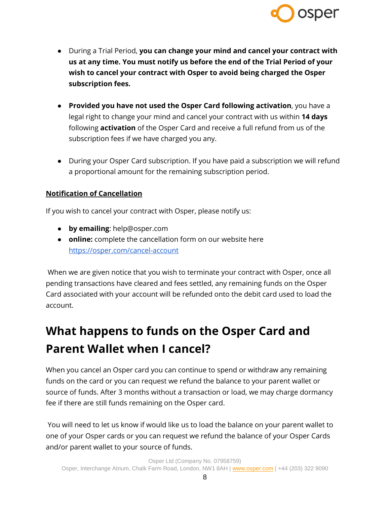

- During a Trial Period, **you can change your mind and cancel your contract with us at any time. You must notify us before the end of the Trial Period of your wish to cancel your contract with Osper to avoid being charged the Osper subscription fees.**
- **Provided you have not used the Osper Card following activation**, you have a legal right to change your mind and cancel your contract with us within **14 days** following **activation** of the Osper Card and receive a full refund from us of the subscription fees if we have charged you any.
- During your Osper Card subscription. If you have paid a subscription we will refund a proportional amount for the remaining subscription period.

#### **Notification of Cancellation**

If you wish to cancel your contract with Osper, please notify us:

- **by emailing**: help@osper.com
- **online:** complete the cancellation form on our website here <https://osper.com/cancel-account>

When we are given notice that you wish to terminate your contract with Osper, once all pending transactions have cleared and fees settled, any remaining funds on the Osper Card associated with your account will be refunded onto the debit card used to load the account.

### <span id="page-7-0"></span>**What happens to funds on the Osper Card and Parent Wallet when I cancel?**

When you cancel an Osper card you can continue to spend or withdraw any remaining funds on the card or you can request we refund the balance to your parent wallet or source of funds. After 3 months without a transaction or load, we may charge dormancy fee if there are still funds remaining on the Osper card.

You will need to let us know if would like us to load the balance on your parent wallet to one of your Osper cards or you can request we refund the balance of your Osper Cards and/or parent wallet to your source of funds.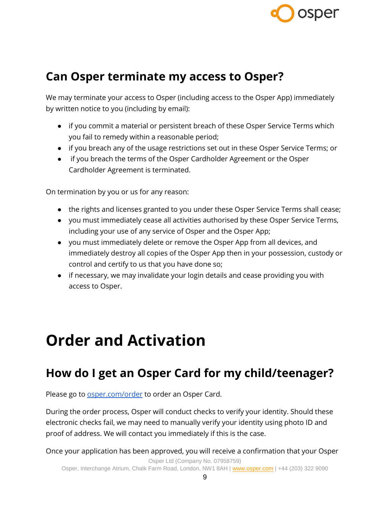

#### <span id="page-8-0"></span>**Can Osper terminate my access to Osper?**

We may terminate your access to Osper (including access to the Osper App) immediately by written notice to you (including by email):

- if you commit a material or persistent breach of these Osper Service Terms which you fail to remedy within a reasonable period;
- if you breach any of the usage restrictions set out in these Osper Service Terms; or
- if you breach the terms of the Osper Cardholder Agreement or the Osper Cardholder Agreement is terminated.

On termination by you or us for any reason:

- the rights and licenses granted to you under these Osper Service Terms shall cease;
- you must immediately cease all activities authorised by these Osper Service Terms, including your use of any service of Osper and the Osper App;
- you must immediately delete or remove the Osper App from all devices, and immediately destroy all copies of the Osper App then in your possession, custody or control and certify to us that you have done so;
- if necessary, we may invalidate your login details and cease providing you with access to Osper.

## <span id="page-8-1"></span>**Order and Activation**

#### <span id="page-8-2"></span>**How do I get an Osper Card for my child/teenager?**

Please go to **osper.com/order** to order an Osper Card.

During the order process, Osper will conduct checks to verify your identity. Should these electronic checks fail, we may need to manually verify your identity using photo ID and proof of address. We will contact you immediately if this is the case.

Once your application has been approved, you will receive a confirmation that your Osper

Osper Ltd (Company No. 07958759)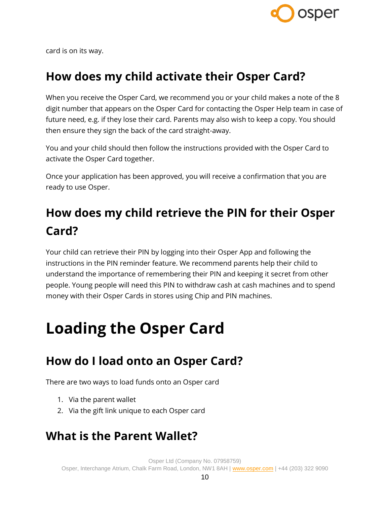

card is on its way.

#### <span id="page-9-0"></span>**How does my child activate their Osper Card?**

When you receive the Osper Card, we recommend you or your child makes a note of the 8 digit number that appears on the Osper Card for contacting the Osper Help team in case of future need, e.g. if they lose their card. Parents may also wish to keep a copy. You should then ensure they sign the back of the card straight-away.

You and your child should then follow the instructions provided with the Osper Card to activate the Osper Card together.

Once your application has been approved, you will receive a confirmation that you are ready to use Osper.

### <span id="page-9-1"></span>**How does my child retrieve the PIN for their Osper Card?**

Your child can retrieve their PIN by logging into their Osper App and following the instructions in the PIN reminder feature. We recommend parents help their child to understand the importance of remembering their PIN and keeping it secret from other people. Young people will need this PIN to withdraw cash at cash machines and to spend money with their Osper Cards in stores using Chip and PIN machines.

## <span id="page-9-2"></span>**Loading the Osper Card**

#### <span id="page-9-3"></span>**How do I load onto an Osper Card?**

There are two ways to load funds onto an Osper card

- 1. Via the parent wallet
- 2. Via the gift link unique to each Osper card

#### <span id="page-9-4"></span>**What is the Parent Wallet?**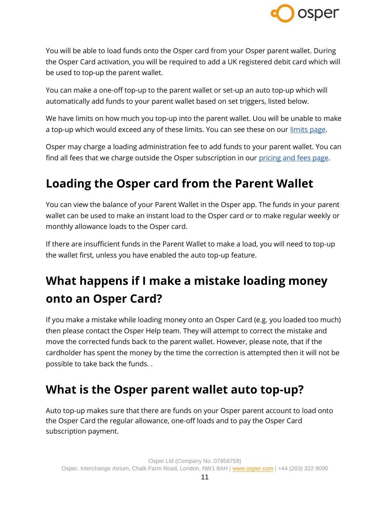

You will be able to load funds onto the Osper card from your Osper parent wallet. During the Osper Card activation, you will be required to add a UK registered debit card which will be used to top-up the parent wallet.

You can make a one-off top-up to the parent wallet or set-up an auto top-up which will automatically add funds to your parent wallet based on set triggers, listed below.

We have limits on how much you top-up into the parent wallet. Uou will be unable to make a top-up which would exceed any of these limits. You can see these on our [limits page.](https://osper.com/terms/osper-card-limits.pdf)

Osper may charge a loading administration fee to add funds to your parent wallet. You can find all fees that we charge outside the Osper subscription in our [pricing and fees page.](https://osper.com/pricing)

#### <span id="page-10-0"></span>**Loading the Osper card from the Parent Wallet**

You can view the balance of your Parent Wallet in the Osper app. The funds in your parent wallet can be used to make an instant load to the Osper card or to make regular weekly or monthly allowance loads to the Osper card.

If there are insufficient funds in the Parent Wallet to make a load, you will need to top-up the wallet first, unless you have enabled the auto top-up feature.

### <span id="page-10-1"></span>**What happens if I make a mistake loading money onto an Osper Card?**

If you make a mistake while loading money onto an Osper Card (e.g. you loaded too much) then please contact the Osper Help team. They will attempt to correct the mistake and move the corrected funds back to the parent wallet. However, please note, that if the cardholder has spent the money by the time the correction is attempted then it will not be possible to take back the funds. .

#### <span id="page-10-2"></span>**What is the Osper parent wallet auto top-up?**

Auto top-up makes sure that there are funds on your Osper parent account to load onto the Osper Card the regular allowance, one-off loads and to pay the Osper Card subscription payment.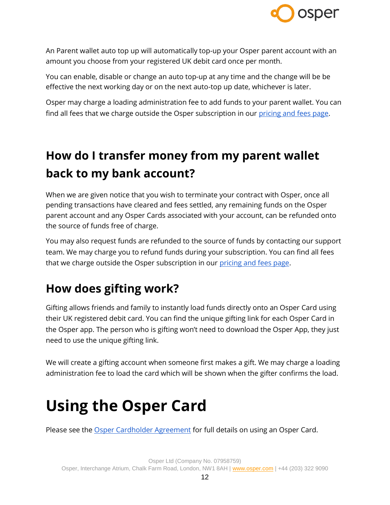

An Parent wallet auto top up will automatically top-up your Osper parent account with an amount you choose from your registered UK debit card once per month.

You can enable, disable or change an auto top-up at any time and the change will be be effective the next working day or on the next auto-top up date, whichever is later.

Osper may charge a loading administration fee to add funds to your parent wallet. You can find all fees that we charge outside the Osper subscription in our [pricing and fees page.](https://osper.com/pricing)

## <span id="page-11-0"></span>**How do I transfer money from my parent wallet back to my bank account?**

When we are given notice that you wish to terminate your contract with Osper, once all pending transactions have cleared and fees settled, any remaining funds on the Osper parent account and any Osper Cards associated with your account, can be refunded onto the source of funds free of charge.

You may also request funds are refunded to the source of funds by contacting our support team. We may charge you to refund funds during your subscription. You can find all fees that we charge outside the Osper subscription in our [pricing and fees page.](https://osper.com/pricing)

#### <span id="page-11-1"></span>**How does gifting work?**

Gifting allows friends and family to instantly load funds directly onto an Osper Card using their UK registered debit card. You can find the unique gifting link for each Osper Card in the Osper app. The person who is gifting won't need to download the Osper App, they just need to use the unique gifting link.

We will create a gifting account when someone first makes a gift. We may charge a loading administration fee to load the card which will be shown when the gifter confirms the load.

## <span id="page-11-2"></span>**Using the Osper Card**

Please see the **Osper Cardholder Agreement** for full details on using an Osper Card.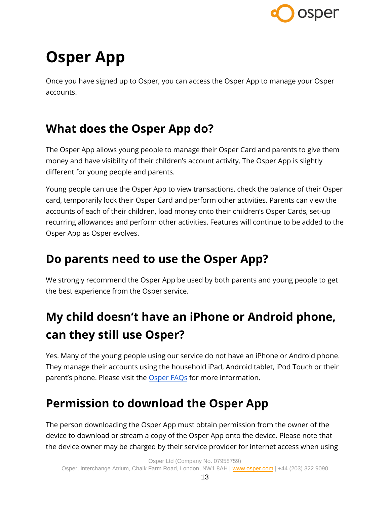

# <span id="page-12-0"></span>**Osper App**

Once you have signed up to Osper, you can access the Osper App to manage your Osper accounts.

### <span id="page-12-1"></span>**What does the Osper App do?**

The Osper App allows young people to manage their Osper Card and parents to give them money and have visibility of their children's account activity. The Osper App is slightly different for young people and parents.

Young people can use the Osper App to view transactions, check the balance of their Osper card, temporarily lock their Osper Card and perform other activities. Parents can view the accounts of each of their children, load money onto their children's Osper Cards, set-up recurring allowances and perform other activities. Features will continue to be added to the Osper App as Osper evolves.

#### <span id="page-12-2"></span>**Do parents need to use the Osper App?**

We strongly recommend the Osper App be used by both parents and young people to get the best experience from the Osper service.

### <span id="page-12-3"></span>**My child doesn't have an iPhone or Android phone, can they still use Osper?**

Yes. Many of the young people using our service do not have an iPhone or Android phone. They manage their accounts using the household iPad, Android tablet, iPod Touch or their parent's phone. Please visit the [Osper FAQs](https://osper.com/faqs) for more information.

#### <span id="page-12-4"></span>**Permission to download the Osper App**

The person downloading the Osper App must obtain permission from the owner of the device to download or stream a copy of the Osper App onto the device. Please note that the device owner may be charged by their service provider for internet access when using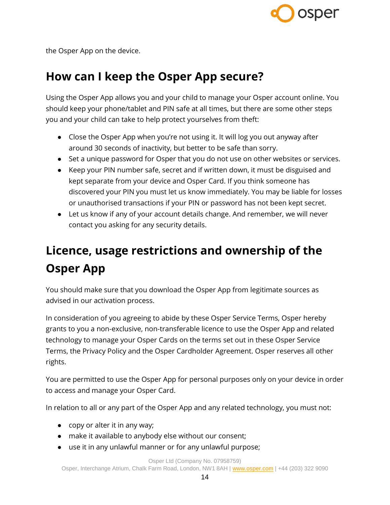

the Osper App on the device.

### <span id="page-13-0"></span>**How can I keep the Osper App secure?**

Using the Osper App allows you and your child to manage your Osper account online. You should keep your phone/tablet and PIN safe at all times, but there are some other steps you and your child can take to help protect yourselves from theft:

- Close the Osper App when you're not using it. It will log you out anyway after around 30 seconds of inactivity, but better to be safe than sorry.
- Set a unique password for Osper that you do not use on other websites or services.
- Keep your PIN number safe, secret and if written down, it must be disguised and kept separate from your device and Osper Card. If you think someone has discovered your PIN you must let us know immediately. You may be liable for losses or unauthorised transactions if your PIN or password has not been kept secret.
- Let us know if any of your account details change. And remember, we will never contact you asking for any security details.

### <span id="page-13-1"></span>**Licence, usage restrictions and ownership of the Osper App**

You should make sure that you download the Osper App from legitimate sources as advised in our activation process.

In consideration of you agreeing to abide by these Osper Service Terms, Osper hereby grants to you a non-exclusive, non-transferable licence to use the Osper App and related technology to manage your Osper Cards on the terms set out in these Osper Service Terms, the Privacy Policy and the Osper Cardholder Agreement. Osper reserves all other rights.

You are permitted to use the Osper App for personal purposes only on your device in order to access and manage your Osper Card.

In relation to all or any part of the Osper App and any related technology, you must not:

- copy or alter it in any way;
- make it available to anybody else without our consent;
- use it in any unlawful manner or for any unlawful purpose;

Osper Ltd (Company No. 07958759)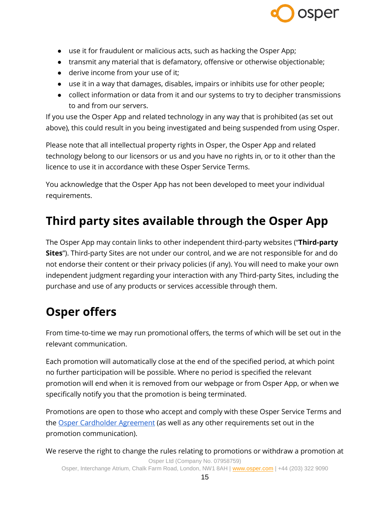

- use it for fraudulent or malicious acts, such as hacking the Osper App;
- transmit any material that is defamatory, offensive or otherwise objectionable;
- derive income from your use of it;
- use it in a way that damages, disables, impairs or inhibits use for other people;
- collect information or data from it and our systems to try to decipher transmissions to and from our servers.

If you use the Osper App and related technology in any way that is prohibited (as set out above), this could result in you being investigated and being suspended from using Osper.

Please note that all intellectual property rights in Osper, the Osper App and related technology belong to our licensors or us and you have no rights in, or to it other than the licence to use it in accordance with these Osper Service Terms.

You acknowledge that the Osper App has not been developed to meet your individual requirements.

#### <span id="page-14-0"></span>**Third party sites available through the Osper App**

The Osper App may contain links to other independent third-party websites ("**Third-party Sites**"). Third-party Sites are not under our control, and we are not responsible for and do not endorse their content or their privacy policies (if any). You will need to make your own independent judgment regarding your interaction with any Third-party Sites, including the purchase and use of any products or services accessible through them.

#### <span id="page-14-1"></span>**Osper offers**

From time-to-time we may run promotional offers, the terms of which will be set out in the relevant communication.

Each promotion will automatically close at the end of the specified period, at which point no further participation will be possible. Where no period is specified the relevant promotion will end when it is removed from our webpage or from Osper App, or when we specifically notify you that the promotion is being terminated.

Promotions are open to those who accept and comply with these Osper Service Terms and the [Osper Cardholder Agreement](https://osper.com/terms/osper-card-terms.pdf) (as well as any other requirements set out in the promotion communication).

Osper Ltd (Company No. 07958759) We reserve the right to change the rules relating to promotions or withdraw a promotion at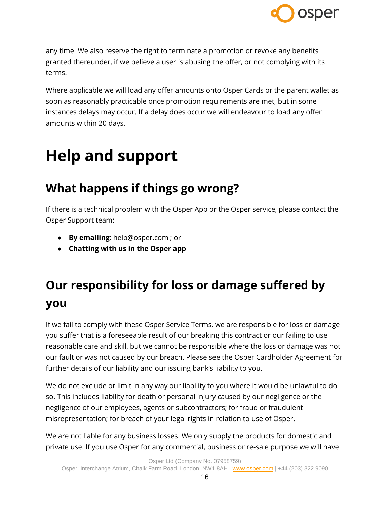

any time. We also reserve the right to terminate a promotion or revoke any benefits granted thereunder, if we believe a user is abusing the offer, or not complying with its terms.

Where applicable we will load any offer amounts onto Osper Cards or the parent wallet as soon as reasonably practicable once promotion requirements are met, but in some instances delays may occur. If a delay does occur we will endeavour to load any offer amounts within 20 days.

## <span id="page-15-0"></span>**Help and support**

### <span id="page-15-1"></span>**What happens if things go wrong?**

If there is a technical problem with the Osper App or the Osper service, please contact the Osper Support team:

- **By emailing**: help@osper.com ; or
- **Chatting with us in the Osper app**

### <span id="page-15-2"></span>**Our responsibility for loss or damage suffered by you**

If we fail to comply with these Osper Service Terms, we are responsible for loss or damage you suffer that is a foreseeable result of our breaking this contract or our failing to use reasonable care and skill, but we cannot be responsible where the loss or damage was not our fault or was not caused by our breach. Please see the Osper Cardholder Agreement for further details of our liability and our issuing bank's liability to you.

We do not exclude or limit in any way our liability to you where it would be unlawful to do so. This includes liability for death or personal injury caused by our negligence or the negligence of our employees, agents or subcontractors; for fraud or fraudulent misrepresentation; for breach of your legal rights in relation to use of Osper.

We are not liable for any business losses. We only supply the products for domestic and private use. If you use Osper for any commercial, business or re-sale purpose we will have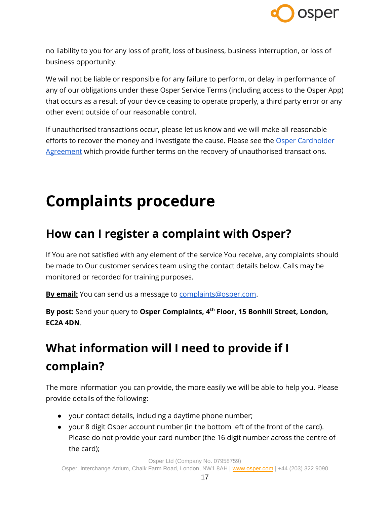

no liability to you for any loss of profit, loss of business, business interruption, or loss of business opportunity.

We will not be liable or responsible for any failure to perform, or delay in performance of any of our obligations under these Osper Service Terms (including access to the Osper App) that occurs as a result of your device ceasing to operate properly, a third party error or any other event outside of our reasonable control.

If unauthorised transactions occur, please let us know and we will make all reasonable efforts to recover the money and investigate the cause. Please see the Osper Cardholder [Agreement](https://osper.com/terms/card-terms) which provide further terms on the recovery of unauthorised transactions.

## <span id="page-16-0"></span>**Complaints procedure**

#### <span id="page-16-1"></span>**How can I register a complaint with Osper?**

If You are not satisfied with any element of the service You receive, any complaints should be made to Our customer services team using the contact details below. Calls may be monitored or recorded for training purposes.

By email: You can send us a message to [complaints@osper.com.](mailto:complaints@osper.com)

**By post:** Send your query to **Osper Complaints, 4 th Floor, 15 Bonhill Street, London, EC2A 4DN**.

### <span id="page-16-2"></span>**What information will I need to provide if I complain?**

The more information you can provide, the more easily we will be able to help you. Please provide details of the following:

- your contact details, including a daytime phone number;
- your 8 digit Osper account number (in the bottom left of the front of the card). Please do not provide your card number (the 16 digit number across the centre of the card);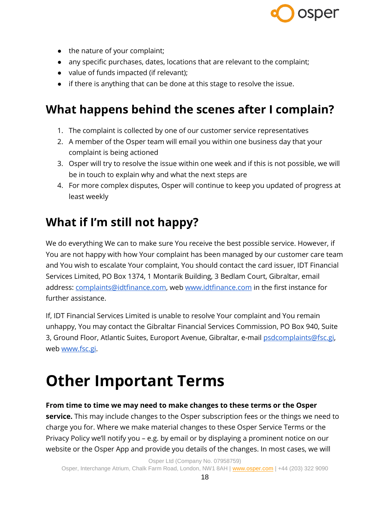

- the nature of your complaint;
- any specific purchases, dates, locations that are relevant to the complaint;
- value of funds impacted (if relevant);
- if there is anything that can be done at this stage to resolve the issue.

#### <span id="page-17-0"></span>**What happens behind the scenes after I complain?**

- 1. The complaint is collected by one of our customer service representatives
- 2. A member of the Osper team will email you within one business day that your complaint is being actioned
- 3. Osper will try to resolve the issue within one week and if this is not possible, we will be in touch to explain why and what the next steps are
- 4. For more complex disputes, Osper will continue to keep you updated of progress at least weekly

### <span id="page-17-1"></span>**What if I'm still not happy?**

We do everything We can to make sure You receive the best possible service. However, if You are not happy with how Your complaint has been managed by our customer care team and You wish to escalate Your complaint, You should contact the card issuer, IDT Financial Services Limited, PO Box 1374, 1 Montarik Building, 3 Bedlam Court, Gibraltar, email address: [complaints@idtfinance.com,](mailto:complaints@idtfinance.com) we[b www.idtfinance.com](http://www.idtfinance.com/) in the first instance for further assistance.

If, IDT Financial Services Limited is unable to resolve Your complaint and You remain unhappy, You may contact the Gibraltar Financial Services Commission, PO Box 940, Suite 3, Ground Floor, Atlantic Suites, Europort Avenue, Gibraltar, e-mail [psdcomplaints@fsc.gi,](mailto:psdcomplaints@fsc.gi) web [www.fsc.gi.](http://www.fsc.gi/)

## <span id="page-17-2"></span>**Other Important Terms**

#### **From time to time we may need to make changes to these terms or the Osper**

**service.** This may include changes to the Osper subscription fees or the things we need to charge you for. Where we make material changes to these Osper Service Terms or the Privacy Policy we'll notify you – e.g. by email or by displaying a prominent notice on our website or the Osper App and provide you details of the changes. In most cases, we will

Osper Ltd (Company No. 07958759)